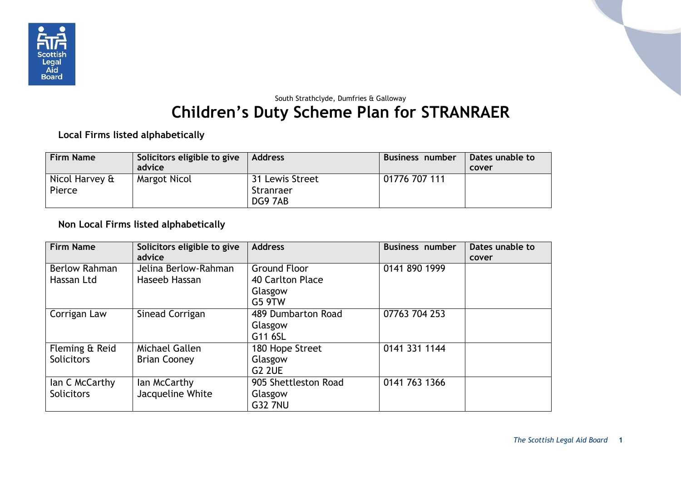

## South Strathclyde, Dumfries & Galloway **Children's Duty Scheme Plan for STRANRAER**

**Local Firms listed alphabetically**

| <b>Firm Name</b>         | Solicitors eligible to give<br>advice | <b>Address</b>                          | <b>Business number</b> | Dates unable to<br>cover |
|--------------------------|---------------------------------------|-----------------------------------------|------------------------|--------------------------|
| Nicol Harvey &<br>Pierce | Margot Nicol                          | 31 Lewis Street<br>Stranraer<br>DG9 7AB | 01776 707 111          |                          |

## **Non Local Firms listed alphabetically**

| <b>Firm Name</b>     | Solicitors eligible to give<br>advice | <b>Address</b>       | <b>Business number</b> | Dates unable to<br>cover |
|----------------------|---------------------------------------|----------------------|------------------------|--------------------------|
| <b>Berlow Rahman</b> | Jelina Berlow-Rahman                  | <b>Ground Floor</b>  | 0141 890 1999          |                          |
| Hassan Ltd           | Haseeb Hassan                         | 40 Carlton Place     |                        |                          |
|                      |                                       | Glasgow              |                        |                          |
|                      |                                       | <b>G5 9TW</b>        |                        |                          |
| Corrigan Law         | Sinead Corrigan                       | 489 Dumbarton Road   | 07763 704 253          |                          |
|                      |                                       | Glasgow              |                        |                          |
|                      |                                       | G11 6SL              |                        |                          |
| Fleming & Reid       | Michael Gallen                        | 180 Hope Street      | 0141 331 1144          |                          |
| <b>Solicitors</b>    | <b>Brian Cooney</b>                   | Glasgow              |                        |                          |
|                      |                                       | <b>G2 2UE</b>        |                        |                          |
| lan C McCarthy       | lan McCarthy                          | 905 Shettleston Road | 0141 763 1366          |                          |
| <b>Solicitors</b>    | Jacqueline White                      | Glasgow              |                        |                          |
|                      |                                       | <b>G32 7NU</b>       |                        |                          |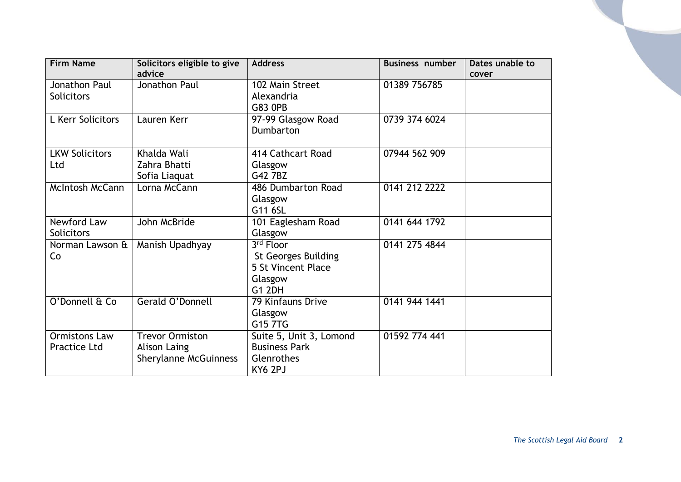| <b>Firm Name</b>                     | Solicitors eligible to give<br>advice                                         | <b>Address</b>                                                                            | <b>Business number</b> | Dates unable to<br>cover |
|--------------------------------------|-------------------------------------------------------------------------------|-------------------------------------------------------------------------------------------|------------------------|--------------------------|
| Jonathon Paul<br><b>Solicitors</b>   | Jonathon Paul                                                                 | 102 Main Street<br>Alexandria<br><b>G83 OPB</b>                                           | 01389 756785           |                          |
| L Kerr Solicitors                    | Lauren Kerr                                                                   | 97-99 Glasgow Road<br>Dumbarton                                                           | 0739 374 6024          |                          |
| <b>LKW Solicitors</b><br>Ltd         | Khalda Wali<br>Zahra Bhatti<br>Sofia Liaquat                                  | 414 Cathcart Road<br>Glasgow<br>G42 7BZ                                                   | 07944 562 909          |                          |
| McIntosh McCann                      | Lorna McCann                                                                  | 486 Dumbarton Road<br>Glasgow<br>G11 6SL                                                  | 0141 212 2222          |                          |
| Newford Law<br><b>Solicitors</b>     | John McBride                                                                  | 101 Eaglesham Road<br>Glasgow                                                             | 0141 644 1792          |                          |
| Norman Lawson &<br>Co                | Manish Upadhyay                                                               | 3rd Floor<br><b>St Georges Building</b><br>5 St Vincent Place<br>Glasgow<br><b>G1 2DH</b> | 0141 275 4844          |                          |
| O'Donnell & Co                       | Gerald O'Donnell                                                              | 79 Kinfauns Drive<br>Glasgow<br>G15 7TG                                                   | 0141 944 1441          |                          |
| <b>Ormistons Law</b><br>Practice Ltd | <b>Trevor Ormiston</b><br><b>Alison Laing</b><br><b>Sherylanne McGuinness</b> | Suite 5, Unit 3, Lomond<br><b>Business Park</b><br>Glenrothes<br>KY6 2PJ                  | 01592 774 441          |                          |